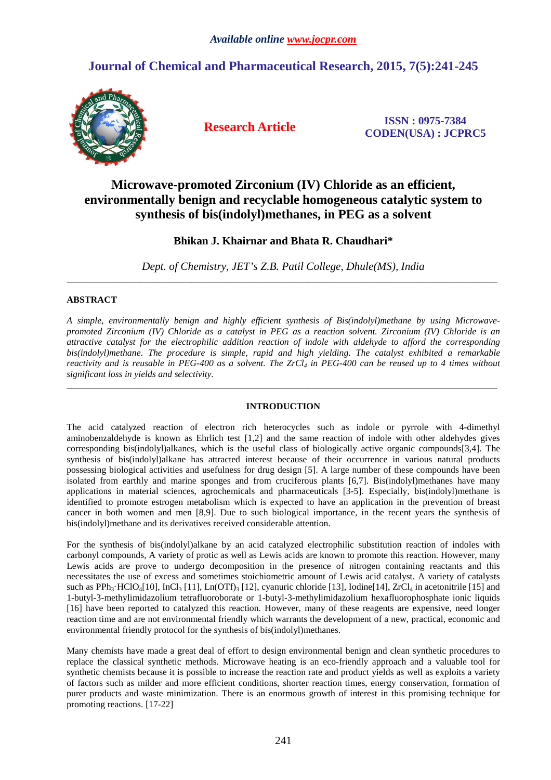# **Journal of Chemical and Pharmaceutical Research, 2015, 7(5):241-245**



**Research Article ISSN : 0975-7384 CODEN(USA) : JCPRC5**

# **Microwave-promoted Zirconium (IV) Chloride as an efficient, environmentally benign and recyclable homogeneous catalytic system to synthesis of bis(indolyl)methanes, in PEG as a solvent**

# **Bhikan J. Khairnar and Bhata R. Chaudhari\***

*Dept. of Chemistry, JET's Z.B. Patil College, Dhule(MS), India*  \_\_\_\_\_\_\_\_\_\_\_\_\_\_\_\_\_\_\_\_\_\_\_\_\_\_\_\_\_\_\_\_\_\_\_\_\_\_\_\_\_\_\_\_\_\_\_\_\_\_\_\_\_\_\_\_\_\_\_\_\_\_\_\_\_\_\_\_\_\_\_\_\_\_\_\_\_\_\_\_\_\_\_\_\_\_\_\_\_\_\_\_\_

# **ABSTRACT**

*A simple, environmentally benign and highly efficient synthesis of Bis(indolyl)methane by using Microwavepromoted Zirconium (IV) Chloride as a catalyst in PEG as a reaction solvent. Zirconium (IV) Chloride is an attractive catalyst for the electrophilic addition reaction of indole with aldehyde to afford the corresponding bis(indolyl)methane. The procedure is simple, rapid and high yielding. The catalyst exhibited a remarkable reactivity and is reusable in PEG-400 as a solvent. The ZrCl4 in PEG-400 can be reused up to 4 times without significant loss in yields and selectivity.* 

# **INTRODUCTION**

\_\_\_\_\_\_\_\_\_\_\_\_\_\_\_\_\_\_\_\_\_\_\_\_\_\_\_\_\_\_\_\_\_\_\_\_\_\_\_\_\_\_\_\_\_\_\_\_\_\_\_\_\_\_\_\_\_\_\_\_\_\_\_\_\_\_\_\_\_\_\_\_\_\_\_\_\_\_\_\_\_\_\_\_\_\_\_\_\_\_\_\_\_

The acid catalyzed reaction of electron rich heterocycles such as indole or pyrrole with 4-dimethyl aminobenzaldehyde is known as Ehrlich test [1,2] and the same reaction of indole with other aldehydes gives corresponding bis(indolyl)alkanes, which is the useful class of biologically active organic compounds[3,4]. The synthesis of bis(indolyl)alkane has attracted interest because of their occurrence in various natural products possessing biological activities and usefulness for drug design [5]. A large number of these compounds have been isolated from earthly and marine sponges and from cruciferous plants [6,7]. Bis(indolyl)methanes have many applications in material sciences, agrochemicals and pharmaceuticals [3-5]. Especially, bis(indolyl)methane is identified to promote estrogen metabolism which is expected to have an application in the prevention of breast cancer in both women and men [8,9]. Due to such biological importance, in the recent years the synthesis of bis(indolyl)methane and its derivatives received considerable attention.

For the synthesis of bis(indolyl)alkane by an acid catalyzed electrophilic substitution reaction of indoles with carbonyl compounds, A variety of protic as well as Lewis acids are known to promote this reaction. However, many Lewis acids are prove to undergo decomposition in the presence of nitrogen containing reactants and this necessitates the use of excess and sometimes stoichiometric amount of Lewis acid catalyst. A variety of catalysts such as  $PPh_3$ ·HClO<sub>4</sub>[10], InCl<sub>3</sub> [11], Ln(OTf)<sub>3</sub> [12], cyanuric chloride [13], Iodine[14], ZrCl<sub>4</sub> in acetonitrile [15] and 1-butyl-3-methylimidazolium tetrafluoroborate or 1-butyl-3-methylimidazolium hexafluorophosphate ionic liquids [16] have been reported to catalyzed this reaction. However, many of these reagents are expensive, need longer reaction time and are not environmental friendly which warrants the development of a new, practical, economic and environmental friendly protocol for the synthesis of bis(indolyl)methanes.

Many chemists have made a great deal of effort to design environmental benign and clean synthetic procedures to replace the classical synthetic methods. Microwave heating is an eco-friendly approach and a valuable tool for synthetic chemists because it is possible to increase the reaction rate and product yields as well as exploits a variety of factors such as milder and more efficient conditions, shorter reaction times, energy conservation, formation of purer products and waste minimization. There is an enormous growth of interest in this promising technique for promoting reactions. [17-22]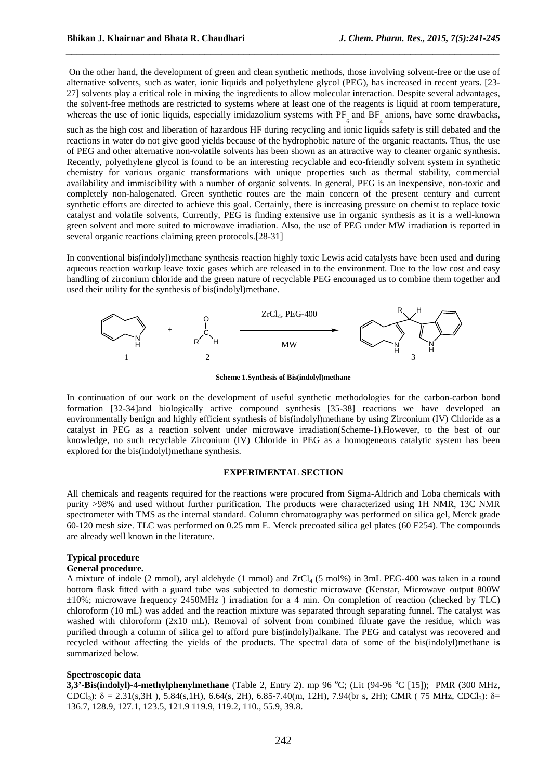On the other hand, the development of green and clean synthetic methods, those involving solvent-free or the use of alternative solvents, such as water, ionic liquids and polyethylene glycol (PEG), has increased in recent years. [23- 27] solvents play a critical role in mixing the ingredients to allow molecular interaction. Despite several advantages, the solvent-free methods are restricted to systems where at least one of the reagents is liquid at room temperature, whereas the use of ionic liquids, especially imidazolium systems with PF and BF anions, have some drawbacks,

*\_\_\_\_\_\_\_\_\_\_\_\_\_\_\_\_\_\_\_\_\_\_\_\_\_\_\_\_\_\_\_\_\_\_\_\_\_\_\_\_\_\_\_\_\_\_\_\_\_\_\_\_\_\_\_\_\_\_\_\_\_\_\_\_\_\_\_\_\_\_\_\_\_\_\_\_\_\_*

such as the high cost and liberation of hazardous HF during recycling and ionic liquids safety is still debated and the reactions in water do not give good yields because of the hydrophobic nature of the organic reactants. Thus, the use of PEG and other alternative non-volatile solvents has been shown as an attractive way to cleaner organic synthesis. Recently, polyethylene glycol is found to be an interesting recyclable and eco-friendly solvent system in synthetic chemistry for various organic transformations with unique properties such as thermal stability, commercial availability and immiscibility with a number of organic solvents. In general, PEG is an inexpensive, non-toxic and completely non-halogenated. Green synthetic routes are the main concern of the present century and current synthetic efforts are directed to achieve this goal. Certainly, there is increasing pressure on chemist to replace toxic catalyst and volatile solvents, Currently, PEG is finding extensive use in organic synthesis as it is a well-known green solvent and more suited to microwave irradiation. Also, the use of PEG under MW irradiation is reported in several organic reactions claiming green protocols.[28-31]

In conventional bis(indolyl)methane synthesis reaction highly toxic Lewis acid catalysts have been used and during aqueous reaction workup leave toxic gases which are released in to the environment. Due to the low cost and easy handling of zirconium chloride and the green nature of recyclable PEG encouraged us to combine them together and used their utility for the synthesis of bis(indolyl)methane.



**Scheme 1.Synthesis of Bis(indolyl)methane**

In continuation of our work on the development of useful synthetic methodologies for the carbon-carbon bond formation [32-34]and biologically active compound synthesis [35-38] reactions we have developed an environmentally benign and highly efficient synthesis of bis(indolyl)methane by using Zirconium (IV) Chloride as a catalyst in PEG as a reaction solvent under microwave irradiation(Scheme-1).However, to the best of our knowledge, no such recyclable Zirconium (IV) Chloride in PEG as a homogeneous catalytic system has been explored for the bis(indolyl)methane synthesis.

## **EXPERIMENTAL SECTION**

All chemicals and reagents required for the reactions were procured from Sigma-Aldrich and Loba chemicals with purity >98% and used without further purification. The products were characterized using 1H NMR, 13C NMR spectrometer with TMS as the internal standard. Column chromatography was performed on silica gel, Merck grade 60-120 mesh size. TLC was performed on 0.25 mm E. Merck precoated silica gel plates (60 F254). The compounds are already well known in the literature.

# **Typical procedure**

### **General procedure.**

A mixture of indole (2 mmol), aryl aldehyde (1 mmol) and  $ZrCl_4$  (5 mol%) in 3mL PEG-400 was taken in a round bottom flask fitted with a guard tube was subjected to domestic microwave (Kenstar, Microwave output 800W ±10%; microwave frequency 2450MHz ) irradiation for a 4 min. On completion of reaction (checked by TLC) chloroform (10 mL) was added and the reaction mixture was separated through separating funnel. The catalyst was washed with chloroform (2x10 mL). Removal of solvent from combined filtrate gave the residue, which was purified through a column of silica gel to afford pure bis(indolyl)alkane. The PEG and catalyst was recovered and recycled without affecting the yields of the products. The spectral data of some of the bis(indolyl)methane i**s**  summarized below.

#### **Spectroscopic data**

**3,3'-Bis(indolyl)-4-methylphenylmethane** (Table 2, Entry 2). mp 96 °C; (Lit (94-96 °C [15]); PMR (300 MHz, CDCl<sub>3</sub>): δ = 2.31(s,3H), 5.84(s,1H), 6.64(s, 2H), 6.85-7.40(m, 12H), 7.94(br s, 2H); CMR (75 MHz, CDCl<sub>3</sub>): δ= 136.7, 128.9, 127.1, 123.5, 121.9 119.9, 119.2, 110., 55.9, 39.8.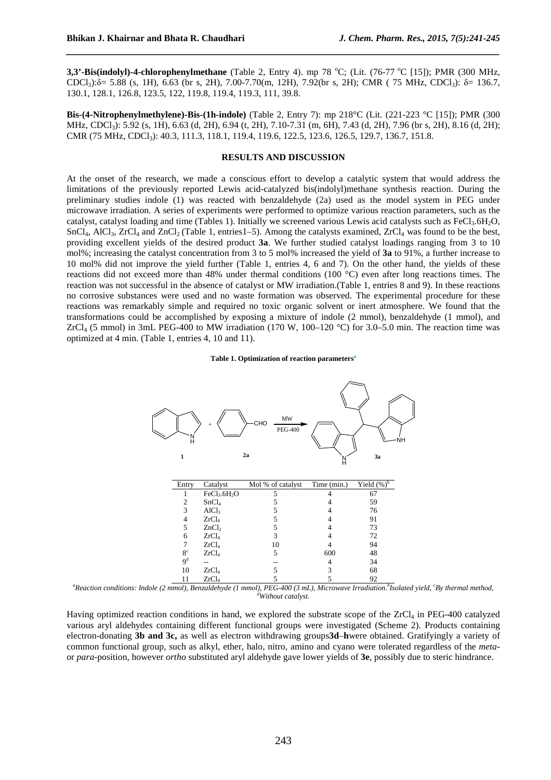**3,3'-Bis(indolyl)-4-chlorophenylmethane** (Table 2, Entry 4). mp 78 °C; (Lit. (76-77 °C [15]); PMR (300 MHz, CDCl<sub>3</sub>): $\delta$ = 5.88 (s, 1H), 6.63 (br s, 2H), 7.00-7.70(m, 12H), 7.92(br s, 2H); CMR ( 75 MHz, CDCl<sub>3</sub>):  $\delta$ = 136.7, 130.1, 128.1, 126.8, 123.5, 122, 119.8, 119.4, 119.3, 111, 39.8.

*\_\_\_\_\_\_\_\_\_\_\_\_\_\_\_\_\_\_\_\_\_\_\_\_\_\_\_\_\_\_\_\_\_\_\_\_\_\_\_\_\_\_\_\_\_\_\_\_\_\_\_\_\_\_\_\_\_\_\_\_\_\_\_\_\_\_\_\_\_\_\_\_\_\_\_\_\_\_*

**Bis-(4-Nitrophenylmethylene)-Bis-(1h-indole)** (Table 2, Entry 7): mp 218°C (Lit. (221-223 °C [15]); PMR (300 MHz, CDCl<sub>3</sub>): 5.92 (s, 1H), 6.63 (d, 2H), 6.94 (t, 2H), 7.10-7.31 (m, 6H), 7.43 (d, 2H), 7.96 (br s, 2H), 8.16 (d, 2H); CMR (75 MHz, CDCl<sub>3</sub>): 40.3, 111.3, 118.1, 119.4, 119.6, 122.5, 123.6, 126.5, 129.7, 136.7, 151.8.

# **RESULTS AND DISCUSSION**

At the onset of the research, we made a conscious effort to develop a catalytic system that would address the limitations of the previously reported Lewis acid-catalyzed bis(indolyl)methane synthesis reaction. During the preliminary studies indole (1) was reacted with benzaldehyde (2a) used as the model system in PEG under microwave irradiation. A series of experiments were performed to optimize various reaction parameters, such as the catalyst, catalyst loading and time (Tables 1). Initially we screened various Lewis acid catalysts such as FeCl<sub>3</sub>.6H<sub>2</sub>O,  $SnCl<sub>4</sub>$ ,  $AlCl<sub>3</sub>$ ,  $ZrCl<sub>4</sub>$  and  $ZnCl<sub>2</sub>$  (Table 1, entries1–5). Among the catalysts examined,  $ZrCl<sub>4</sub>$  was found to be the best, providing excellent yields of the desired product **3a**. We further studied catalyst loadings ranging from 3 to 10 mol%; increasing the catalyst concentration from 3 to 5 mol% increased the yield of **3a** to 91%, a further increase to 10 mol% did not improve the yield further (Table 1, entries 4, 6 and 7). On the other hand, the yields of these reactions did not exceed more than 48% under thermal conditions (100 °C) even after long reactions times. The reaction was not successful in the absence of catalyst or MW irradiation.(Table 1, entries 8 and 9). In these reactions no corrosive substances were used and no waste formation was observed. The experimental procedure for these reactions was remarkably simple and required no toxic organic solvent or inert atmosphere. We found that the transformations could be accomplished by exposing a mixture of indole (2 mmol), benzaldehyde (1 mmol), and ZrCl<sub>4</sub> (5 mmol) in 3mL PEG-400 to MW irradiation (170 W, 100–120 °C) for 3.0–5.0 min. The reaction time was optimized at 4 min. (Table 1, entries 4, 10 and 11).

## **Table 1. Optimization of reaction parameters<sup>a</sup>**



*<sup>a</sup>Reaction conditions: Indole (2 mmol), Benzaldehyde (1 mmol), PEG-400 (3 mL), Microwave Irradiation.<sup>b</sup> Isolated yield, <sup>c</sup>By thermal method, <sup>d</sup>Without catalyst.* 

Having optimized reaction conditions in hand, we explored the substrate scope of the ZrCl<sub>4</sub> in PEG-400 catalyzed various aryl aldehydes containing different functional groups were investigated (Scheme 2). Products containing electron-donating **3b and 3c,** as well as electron withdrawing groups**3d**–**h**were obtained. Gratifyingly a variety of common functional group, such as alkyl, ether, halo, nitro, amino and cyano were tolerated regardless of the *meta*or *para*-position, however *ortho* substituted aryl aldehyde gave lower yields of **3e**, possibly due to steric hindrance.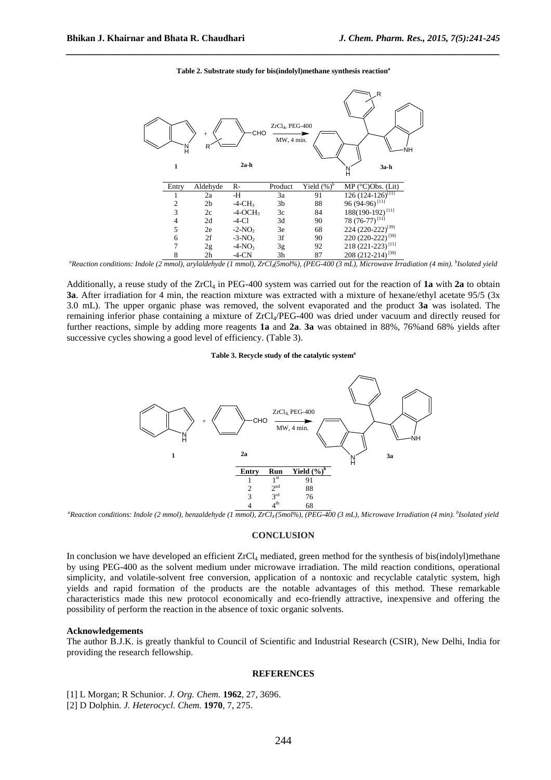

#### **Table 2. Substrate study for bis(indolyl)methane synthesis reaction<sup>a</sup>**

*\_\_\_\_\_\_\_\_\_\_\_\_\_\_\_\_\_\_\_\_\_\_\_\_\_\_\_\_\_\_\_\_\_\_\_\_\_\_\_\_\_\_\_\_\_\_\_\_\_\_\_\_\_\_\_\_\_\_\_\_\_\_\_\_\_\_\_\_\_\_\_\_\_\_\_\_\_\_*

*<sup>a</sup>Reaction conditions: Indole (2 mmol), arylaldehyde (1 mmol), ZrCl4(5mol%), (PEG-400 (3 mL), Microwave Irradiation (4 min). <sup>b</sup> Isolated yield* 

Additionally, a reuse study of the  $ZrCl<sub>4</sub>$  in PEG-400 system was carried out for the reaction of **1a** with **2a** to obtain **3a**. After irradiation for 4 min, the reaction mixture was extracted with a mixture of hexane/ethyl acetate 95/5 (3x) 3.0 mL). The upper organic phase was removed, the solvent evaporated and the product **3a** was isolated. The remaining inferior phase containing a mixture of ZrCl4/PEG-400 was dried under vacuum and directly reused for further reactions, simple by adding more reagents **1a** and **2a**. **3a** was obtained in 88%, 76%and 68% yields after successive cycles showing a good level of efficiency. (Table 3).

#### **Table 3. Recycle study of the catalytic system<sup>a</sup>**



*<sup>a</sup>Reaction conditions: Indole (2 mmol), benzaldehyde (1 mmol), ZrCl4 (5mol%), (PEG-400 (3 mL), Microwave Irradiation (4 min). <sup>b</sup> Isolated yield* 

## **CONCLUSION**

In conclusion we have developed an efficient  $ZrCl<sub>4</sub>$  mediated, green method for the synthesis of bis(indolyl)methane by using PEG-400 as the solvent medium under microwave irradiation. The mild reaction conditions, operational simplicity, and volatile-solvent free conversion, application of a nontoxic and recyclable catalytic system, high yields and rapid formation of the products are the notable advantages of this method. These remarkable characteristics made this new protocol economically and eco-friendly attractive, inexpensive and offering the possibility of perform the reaction in the absence of toxic organic solvents.

#### **Acknowledgements**

The author B.J.K. is greatly thankful to Council of Scientific and Industrial Research (CSIR), New Delhi, India for providing the research fellowship.

# **REFERENCES**

[1] L Morgan; R Schunior. *J. Org. Chem.* **1962**, 27, 3696.

[2] D Dolphin. *J. Heterocycl. Chem.* **1970**, 7, 275.